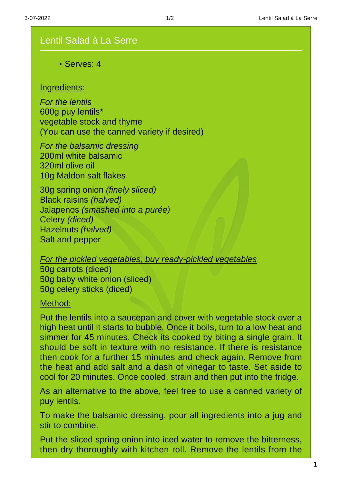## Lentil Salad à La Serre

Serves: 4

## Ingredients:

For the lentils 600g puy lentils\* vegetable stock and thyme (You can use the canned variety if desired)

For the balsamic dressing 200ml white balsamic 320ml olive oil 10g Maldon salt flakes

30g spring onion (finely sliced) Black raisins (halved) Jalapenos (smashed into a purée) Celery (diced) Hazelnuts (halved) Salt and pepper

For the pickled vegetables, buy ready-pickled vegetables

50g carrots (diced) 50g baby white onion (sliced) 50g celery sticks (diced)

Method:

Put the lentils into a saucepan and cover with vegetable stock over a high heat until it starts to bubble. Once it boils, turn to a low heat and simmer for 45 minutes. Check its cooked by biting a single grain. It should be soft in texture with no resistance. If there is resistance then cook for a further 15 minutes and check again. Remove from the heat and add salt and a dash of vinegar to taste. Set aside to cool for 20 minutes. Once cooled, strain and then put into the fridge.

As an alternative to the above, feel free to use a canned variety of puy lentils.

To make the balsamic dressing, pour all ingredients into a jug and stir to combine.

Put the sliced spring onion into iced water to remove the bitterness, then dry thoroughly with kitchen roll. Remove the lentils from the